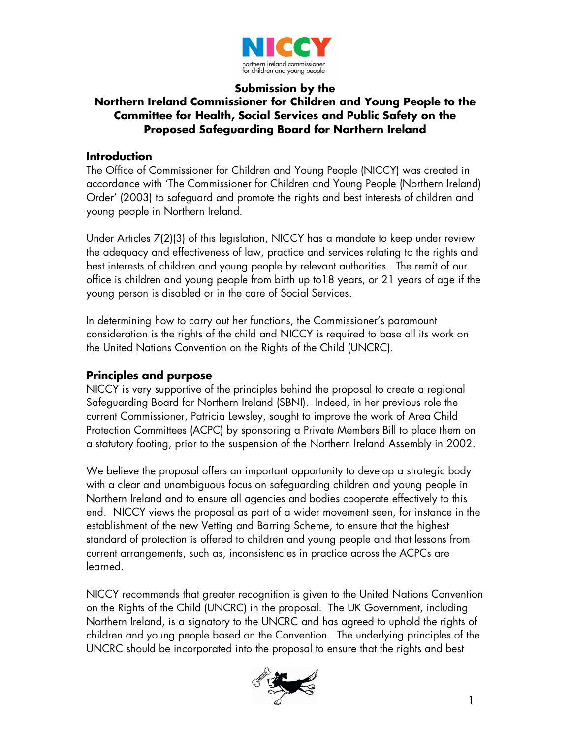

#### **Submission by the Northern Ireland Commissioner for Children and Young People to the Committee for Health, Social Services and Public Safety on the Proposed Safeguarding Board for Northern Ireland**

#### **Introduction**

The Office of Commissioner for Children and Young People (NICCY) was created in accordance with 'The Commissioner for Children and Young People (Northern Ireland) Order' (2003) to safeguard and promote the rights and best interests of children and young people in Northern Ireland.

Under Articles 7(2)(3) of this legislation, NICCY has a mandate to keep under review the adequacy and effectiveness of law, practice and services relating to the rights and best interests of children and young people by relevant authorities. The remit of our office is children and young people from birth up to18 years, or 21 years of age if the young person is disabled or in the care of Social Services.

In determining how to carry out her functions, the Commissioner's paramount consideration is the rights of the child and NICCY is required to base all its work on the United Nations Convention on the Rights of the Child (UNCRC).

## **Principles and purpose**

NICCY is very supportive of the principles behind the proposal to create a regional Safeguarding Board for Northern Ireland (SBNI). Indeed, in her previous role the current Commissioner, Patricia Lewsley, sought to improve the work of Area Child Protection Committees (ACPC) by sponsoring a Private Members Bill to place them on a statutory footing, prior to the suspension of the Northern Ireland Assembly in 2002.

We believe the proposal offers an important opportunity to develop a strategic body with a clear and unambiguous focus on safeguarding children and young people in Northern Ireland and to ensure all agencies and bodies cooperate effectively to this end. NICCY views the proposal as part of a wider movement seen, for instance in the establishment of the new Vetting and Barring Scheme, to ensure that the highest standard of protection is offered to children and young people and that lessons from current arrangements, such as, inconsistencies in practice across the ACPCs are learned.

NICCY recommends that greater recognition is given to the United Nations Convention on the Rights of the Child (UNCRC) in the proposal. The UK Government, including Northern Ireland, is a signatory to the UNCRC and has agreed to uphold the rights of children and young people based on the Convention. The underlying principles of the UNCRC should be incorporated into the proposal to ensure that the rights and best

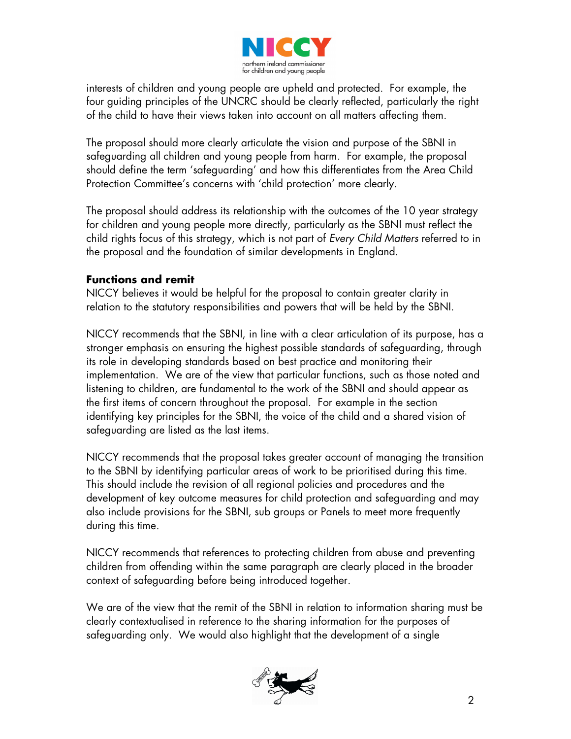

interests of children and young people are upheld and protected. For example, the four guiding principles of the UNCRC should be clearly reflected, particularly the right of the child to have their views taken into account on all matters affecting them.

The proposal should more clearly articulate the vision and purpose of the SBNI in safeguarding all children and young people from harm. For example, the proposal should define the term 'safeguarding' and how this differentiates from the Area Child Protection Committee's concerns with 'child protection' more clearly.

The proposal should address its relationship with the outcomes of the 10 year strategy for children and young people more directly, particularly as the SBNI must reflect the child rights focus of this strategy, which is not part of Every Child Matters referred to in the proposal and the foundation of similar developments in England.

#### **Functions and remit**

NICCY believes it would be helpful for the proposal to contain greater clarity in relation to the statutory responsibilities and powers that will be held by the SBNI.

NICCY recommends that the SBNI, in line with a clear articulation of its purpose, has a stronger emphasis on ensuring the highest possible standards of safeguarding, through its role in developing standards based on best practice and monitoring their implementation. We are of the view that particular functions, such as those noted and listening to children, are fundamental to the work of the SBNI and should appear as the first items of concern throughout the proposal. For example in the section identifying key principles for the SBNI, the voice of the child and a shared vision of safeguarding are listed as the last items.

NICCY recommends that the proposal takes greater account of managing the transition to the SBNI by identifying particular areas of work to be prioritised during this time. This should include the revision of all regional policies and procedures and the development of key outcome measures for child protection and safeguarding and may also include provisions for the SBNI, sub groups or Panels to meet more frequently during this time.

NICCY recommends that references to protecting children from abuse and preventing children from offending within the same paragraph are clearly placed in the broader context of safeguarding before being introduced together.

We are of the view that the remit of the SBNI in relation to information sharing must be clearly contextualised in reference to the sharing information for the purposes of safeguarding only. We would also highlight that the development of a single

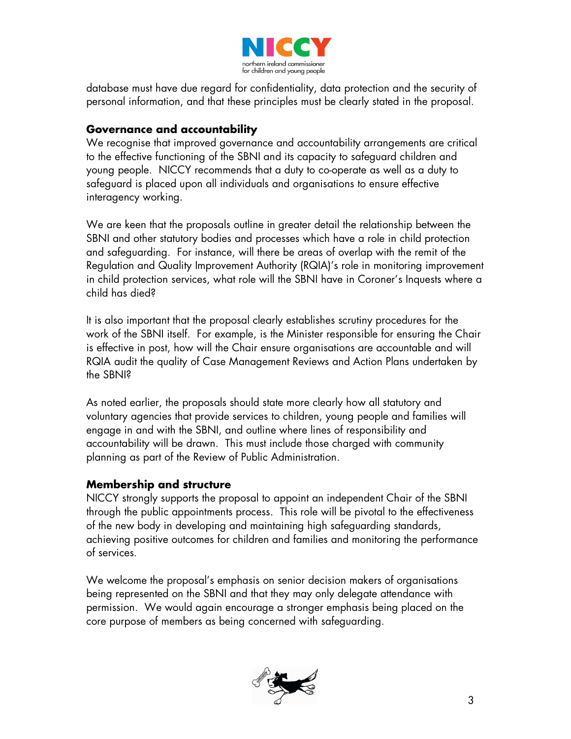

database must have due regard for confidentiality, data protection and the security of personal information, and that these principles must be clearly stated in the proposal.

# **Governance and accountability**

We recognise that improved governance and accountability arrangements are critical to the effective functioning of the SBNI and its capacity to safeguard children and young people. NICCY recommends that a duty to co-operate as well as a duty to safeguard is placed upon all individuals and organisations to ensure effective interagency working.

We are keen that the proposals outline in greater detail the relationship between the SBNI and other statutory bodies and processes which have a role in child protection and safeguarding. For instance, will there be areas of overlap with the remit of the Regulation and Quality Improvement Authority (RQIA)'s role in monitoring improvement in child protection services, what role will the SBNI have in Coroner's Inquests where a child has died?

It is also important that the proposal clearly establishes scrutiny procedures for the work of the SBNI itself. For example, is the Minister responsible for ensuring the Chair is effective in post, how will the Chair ensure organisations are accountable and will RQIA audit the quality of Case Management Reviews and Action Plans undertaken by the SBNI?

As noted earlier, the proposals should state more clearly how all statutory and voluntary agencies that provide services to children, young people and families will engage in and with the SBNI, and outline where lines of responsibility and accountability will be drawn. This must include those charged with community planning as part of the Review of Public Administration.

# **Membership and structure**

NICCY strongly supports the proposal to appoint an independent Chair of the SBNI through the public appointments process. This role will be pivotal to the effectiveness of the new body in developing and maintaining high safeguarding standards, achieving positive outcomes for children and families and monitoring the performance of services.

We welcome the proposal's emphasis on senior decision makers of organisations being represented on the SBNI and that they may only delegate attendance with permission. We would again encourage a stronger emphasis being placed on the core purpose of members as being concerned with safeguarding.